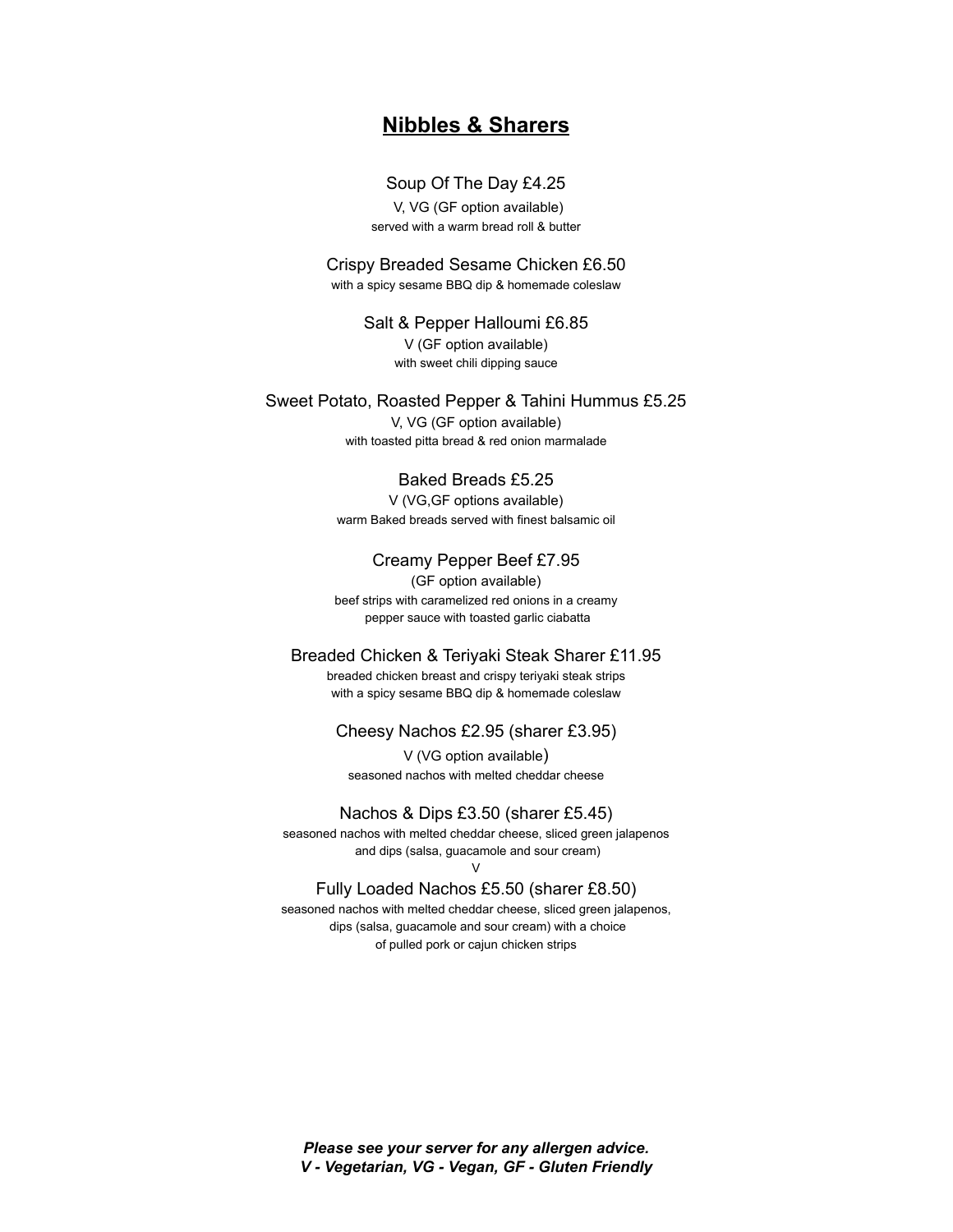# **Nibbles & Sharers**

### Soup Of The Day £4.25

V, VG (GF option available) served with a warm bread roll & butter

Crispy Breaded Sesame Chicken £6.50 with a spicy sesame BBQ dip & homemade coleslaw

> Salt & Pepper Halloumi £6.85 V (GF option available) with sweet chili dipping sauce

Sweet Potato, Roasted Pepper & Tahini Hummus £5.25

V, VG (GF option available) with toasted pitta bread & red onion marmalade

## Baked Breads £5.25

V (VG,GF options available) warm Baked breads served with finest balsamic oil

Creamy Pepper Beef £7.95

(GF option available) beef strips with caramelized red onions in a creamy pepper sauce with toasted garlic ciabatta

#### Breaded Chicken & Teriyaki Steak Sharer £11.95

breaded chicken breast and crispy teriyaki steak strips with a spicy sesame BBQ dip & homemade coleslaw

#### Cheesy Nachos £2.95 (sharer £3.95)

V (VG option available) seasoned nachos with melted cheddar cheese

### Nachos & Dips £3.50 (sharer £5.45)

seasoned nachos with melted cheddar cheese, sliced green jalapenos and dips (salsa, guacamole and sour cream)

#### V Fully Loaded Nachos £5.50 (sharer £8.50)

seasoned nachos with melted cheddar cheese, sliced green jalapenos, dips (salsa, guacamole and sour cream) with a choice of pulled pork or cajun chicken strips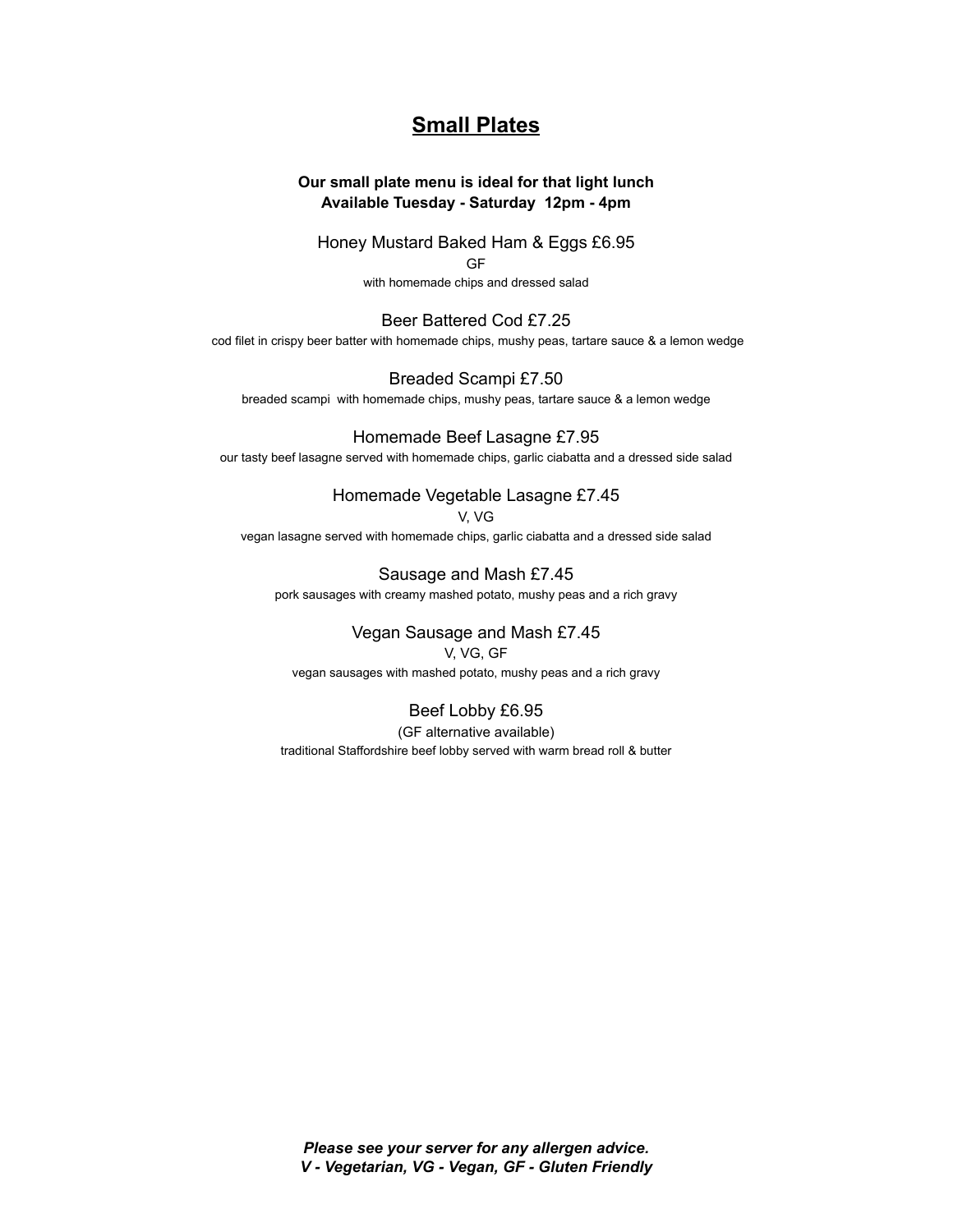# **Small Plates**

# **Our small plate menu is ideal for that light lunch Available Tuesday - Saturday 12pm - 4pm**

Honey Mustard Baked Ham & Eggs £6.95 GF

with homemade chips and dressed salad

#### Beer Battered Cod £7.25 cod filet in crispy beer batter with homemade chips, mushy peas, tartare sauce & a lemon wedge

Breaded Scampi £7.50 breaded scampi with homemade chips, mushy peas, tartare sauce & a lemon wedge

#### Homemade Beef Lasagne £7.95 our tasty beef lasagne served with homemade chips, garlic ciabatta and a dressed side salad

# Homemade Vegetable Lasagne £7.45

V, VG

vegan lasagne served with homemade chips, garlic ciabatta and a dressed side salad

Sausage and Mash £7.45 pork sausages with creamy mashed potato, mushy peas and a rich gravy

# Vegan Sausage and Mash £7.45

V, VG, GF vegan sausages with mashed potato, mushy peas and a rich gravy

# Beef Lobby £6.95

(GF alternative available) traditional Staffordshire beef lobby served with warm bread roll & butter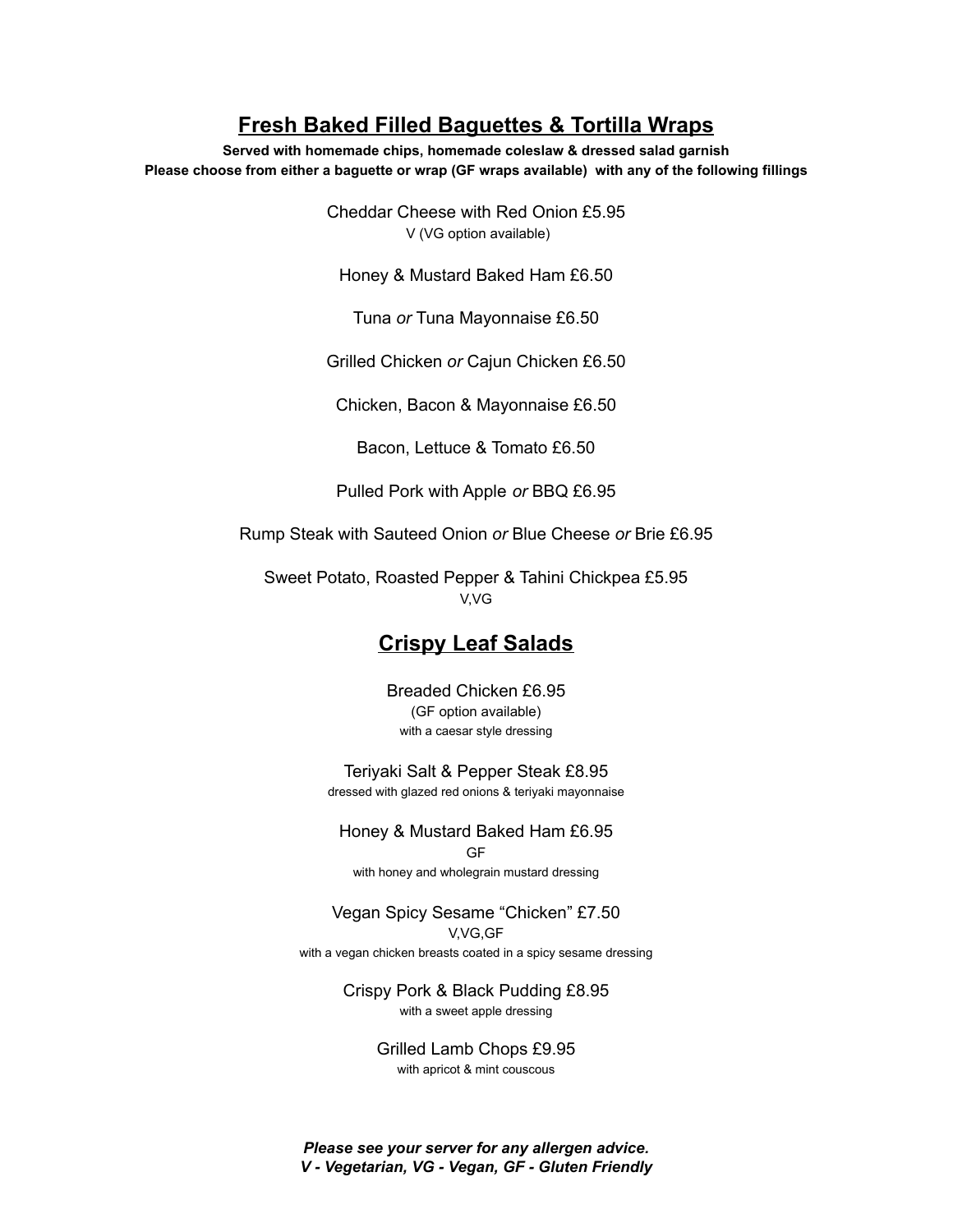# **Fresh Baked Filled Baguettes & Tortilla Wraps**

**Served with homemade chips, homemade coleslaw & dressed salad garnish Please choose from either a baguette or wrap (GF wraps available) with any of the following fillings**

> Cheddar Cheese with Red Onion £5.95 V (VG option available)

Honey & Mustard Baked Ham £6.50

Tuna *or* Tuna Mayonnaise £6.50

Grilled Chicken *or* Cajun Chicken £6.50

Chicken, Bacon & Mayonnaise £6.50

Bacon, Lettuce & Tomato £6.50

Pulled Pork with Apple *or* BBQ £6.95

Rump Steak with Sauteed Onion *or* Blue Cheese *or* Brie £6.95

Sweet Potato, Roasted Pepper & Tahini Chickpea £5.95 V,VG

# **Crispy Leaf Salads**

Breaded Chicken £6.95 (GF option available) with a caesar style dressing

Teriyaki Salt & Pepper Steak £8.95 dressed with glazed red onions & teriyaki mayonnaise

Honey & Mustard Baked Ham £6.95 GF with honey and wholegrain mustard dressing

Vegan Spicy Sesame "Chicken" £7.50 V,VG,GF with a vegan chicken breasts coated in a spicy sesame dressing

> Crispy Pork & Black Pudding £8.95 with a sweet apple dressing

> > Grilled Lamb Chops £9.95 with apricot & mint couscous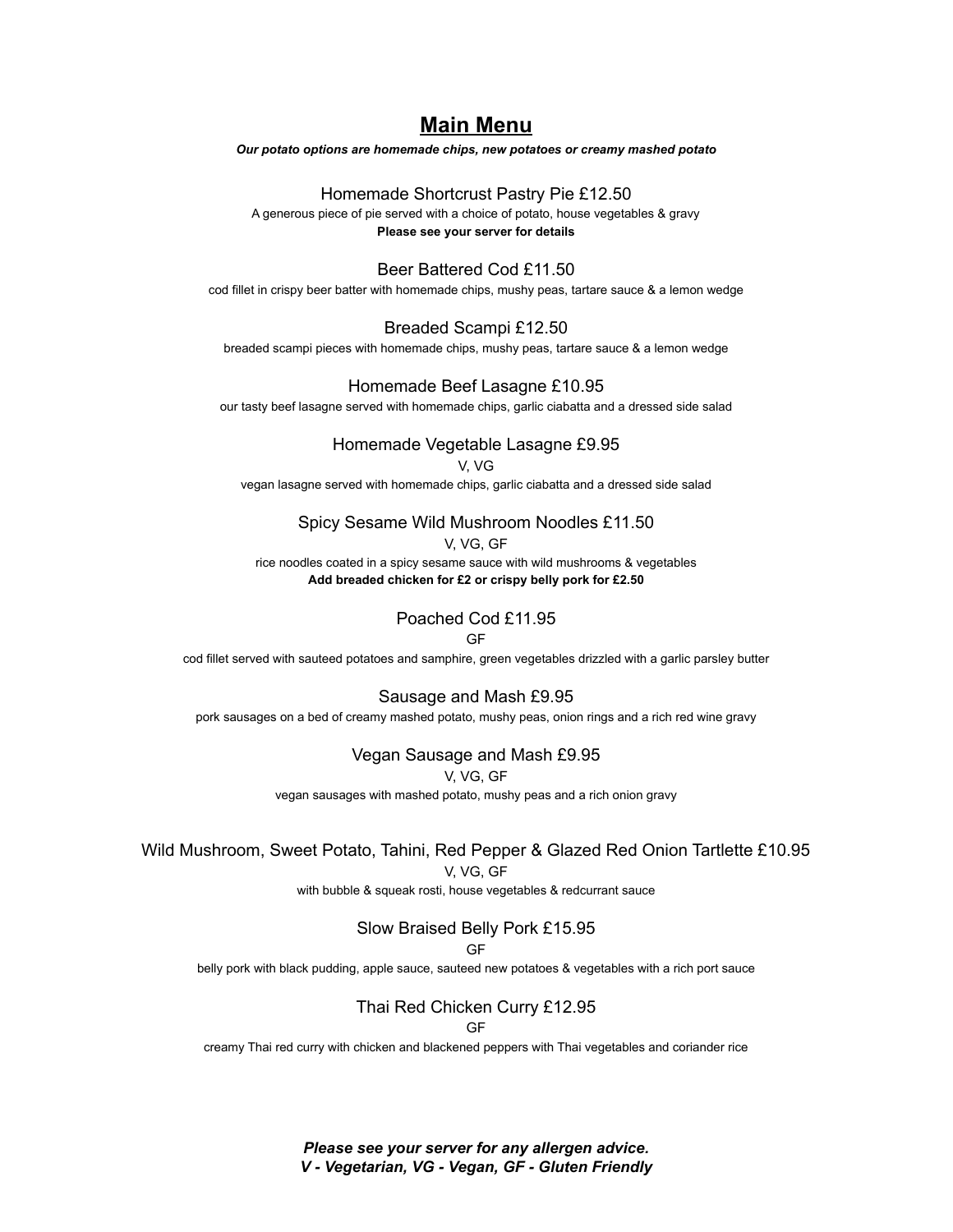# **Main Menu**

*Our potato options are homemade chips, new potatoes or creamy mashed potato*

#### Homemade Shortcrust Pastry Pie £12.50

A generous piece of pie served with a choice of potato, house vegetables & gravy **Please see your server for details**

#### Beer Battered Cod £11.50

cod fillet in crispy beer batter with homemade chips, mushy peas, tartare sauce & a lemon wedge

# Breaded Scampi £12.50

breaded scampi pieces with homemade chips, mushy peas, tartare sauce & a lemon wedge

#### Homemade Beef Lasagne £10.95

our tasty beef lasagne served with homemade chips, garlic ciabatta and a dressed side salad

## Homemade Vegetable Lasagne £9.95

#### V, VG

vegan lasagne served with homemade chips, garlic ciabatta and a dressed side salad

### Spicy Sesame Wild Mushroom Noodles £11.50

#### V, VG, GF

rice noodles coated in a spicy sesame sauce with wild mushrooms & vegetables **Add breaded chicken for £2 or crispy belly pork for £2.50**

# Poached Cod £11.95

#### GF

cod fillet served with sauteed potatoes and samphire, green vegetables drizzled with a garlic parsley butter

#### Sausage and Mash £9.95

pork sausages on a bed of creamy mashed potato, mushy peas, onion rings and a rich red wine gravy

#### Vegan Sausage and Mash £9.95

V, VG, GF

vegan sausages with mashed potato, mushy peas and a rich onion gravy

#### Wild Mushroom, Sweet Potato, Tahini, Red Pepper & Glazed Red Onion Tartlette £10.95

V, VG, GF

with bubble & squeak rosti, house vegetables & redcurrant sauce

# Slow Braised Belly Pork £15.95

#### GF

belly pork with black pudding, apple sauce, sauteed new potatoes & vegetables with a rich port sauce

# Thai Red Chicken Curry £12.95

GF

creamy Thai red curry with chicken and blackened peppers with Thai vegetables and coriander rice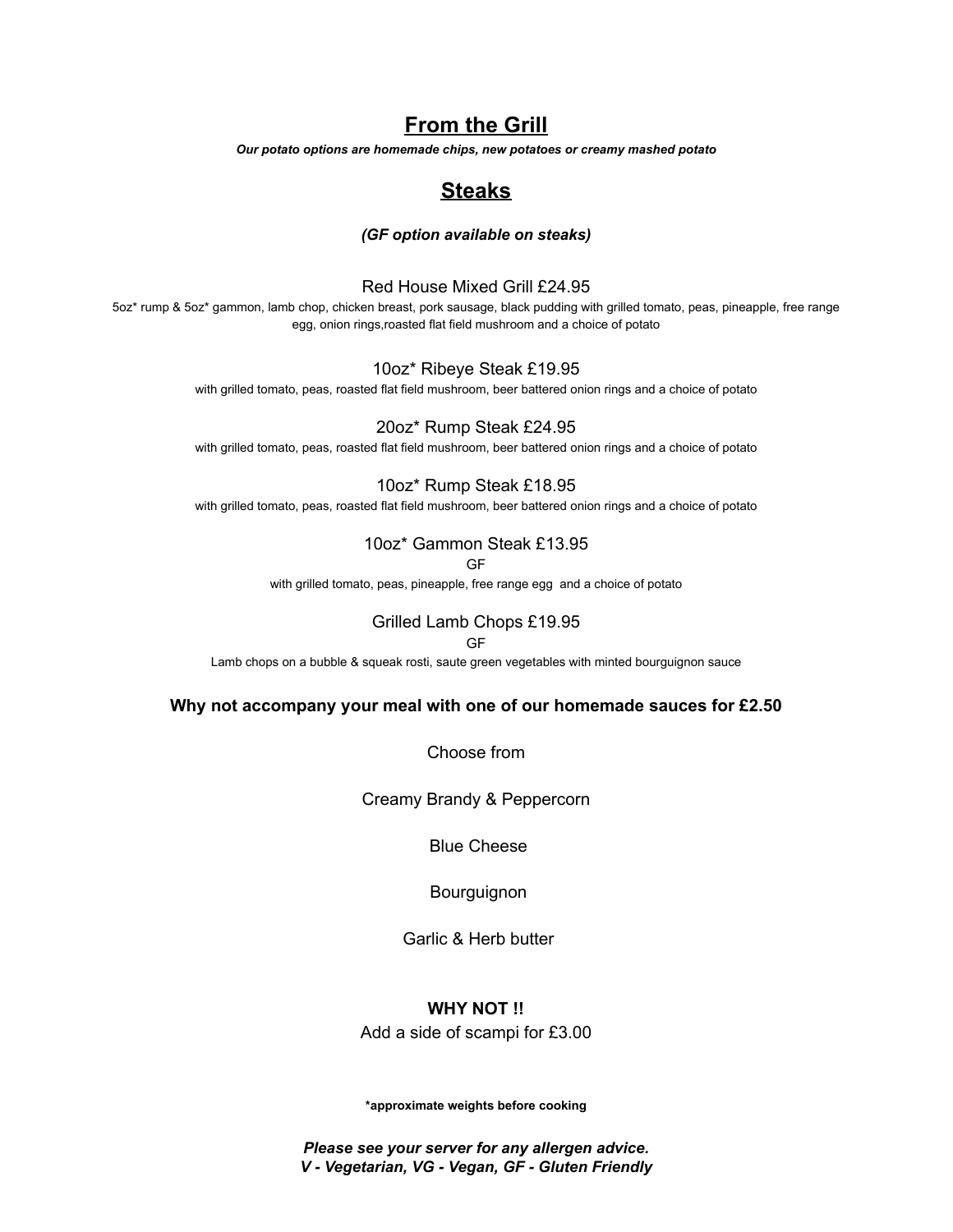# **From the Grill**

*Our potato options are homemade chips, new potatoes or creamy mashed potato*

# **Steaks**

### *(GF option available on steaks)*

## Red House Mixed Grill £24.95

5oz\* rump & 5oz\* gammon, lamb chop, chicken breast, pork sausage, black pudding with grilled tomato, peas, pineapple, free range egg, onion rings,roasted flat field mushroom and a choice of potato

#### 10oz\* Ribeye Steak £19.95

with grilled tomato, peas, roasted flat field mushroom, beer battered onion rings and a choice of potato

# 20oz\* Rump Steak £24.95

with grilled tomato, peas, roasted flat field mushroom, beer battered onion rings and a choice of potato

### 10oz\* Rump Steak £18.95

with grilled tomato, peas, roasted flat field mushroom, beer battered onion rings and a choice of potato

# 10oz\* Gammon Steak £13.95

GF

with grilled tomato, peas, pineapple, free range egg and a choice of potato

# Grilled Lamb Chops £19.95

GF

Lamb chops on a bubble & squeak rosti, saute green vegetables with minted bourguignon sauce

#### **Why not accompany your meal with one of our homemade sauces for £2.50**

Choose from

Creamy Brandy & Peppercorn

Blue Cheese

Bourguignon

Garlic & Herb butter

# **WHY NOT !!**

Add a side of scampi for £3.00

**\*approximate weights before cooking**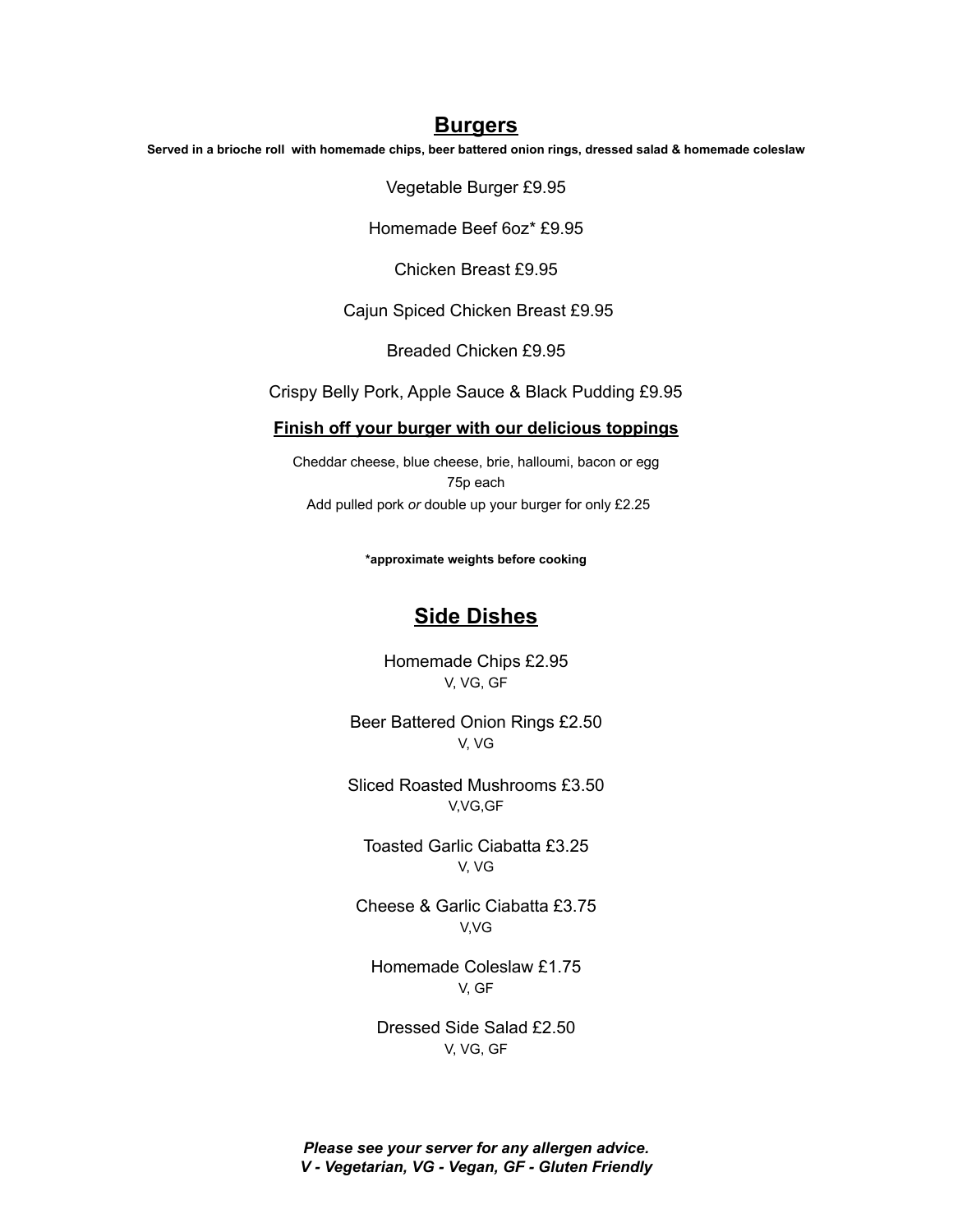## **Burgers**

Served in a brioche roll with homemade chips, beer battered onion rings, dressed salad & homemade coleslaw

Vegetable Burger £9.95

Homemade Beef 6oz\* £9.95

Chicken Breast £9.95

Cajun Spiced Chicken Breast £9.95

Breaded Chicken £9.95

Crispy Belly Pork, Apple Sauce & Black Pudding £9.95

### **Finish off your burger with our delicious toppings**

Cheddar cheese, blue cheese, brie, halloumi, bacon or egg 75p each Add pulled pork *or* double up your burger for only £2.25

**\*approximate weights before cooking**

# **Side Dishes**

Homemade Chips £2.95 V, VG, GF

Beer Battered Onion Rings £2.50 V, VG

Sliced Roasted Mushrooms £3.50 V,VG,GF

Toasted Garlic Ciabatta £3.25 V, VG

Cheese & Garlic Ciabatta £3.75 V,VG

Homemade Coleslaw £1.75 V, GF

Dressed Side Salad £2.50 V, VG, GF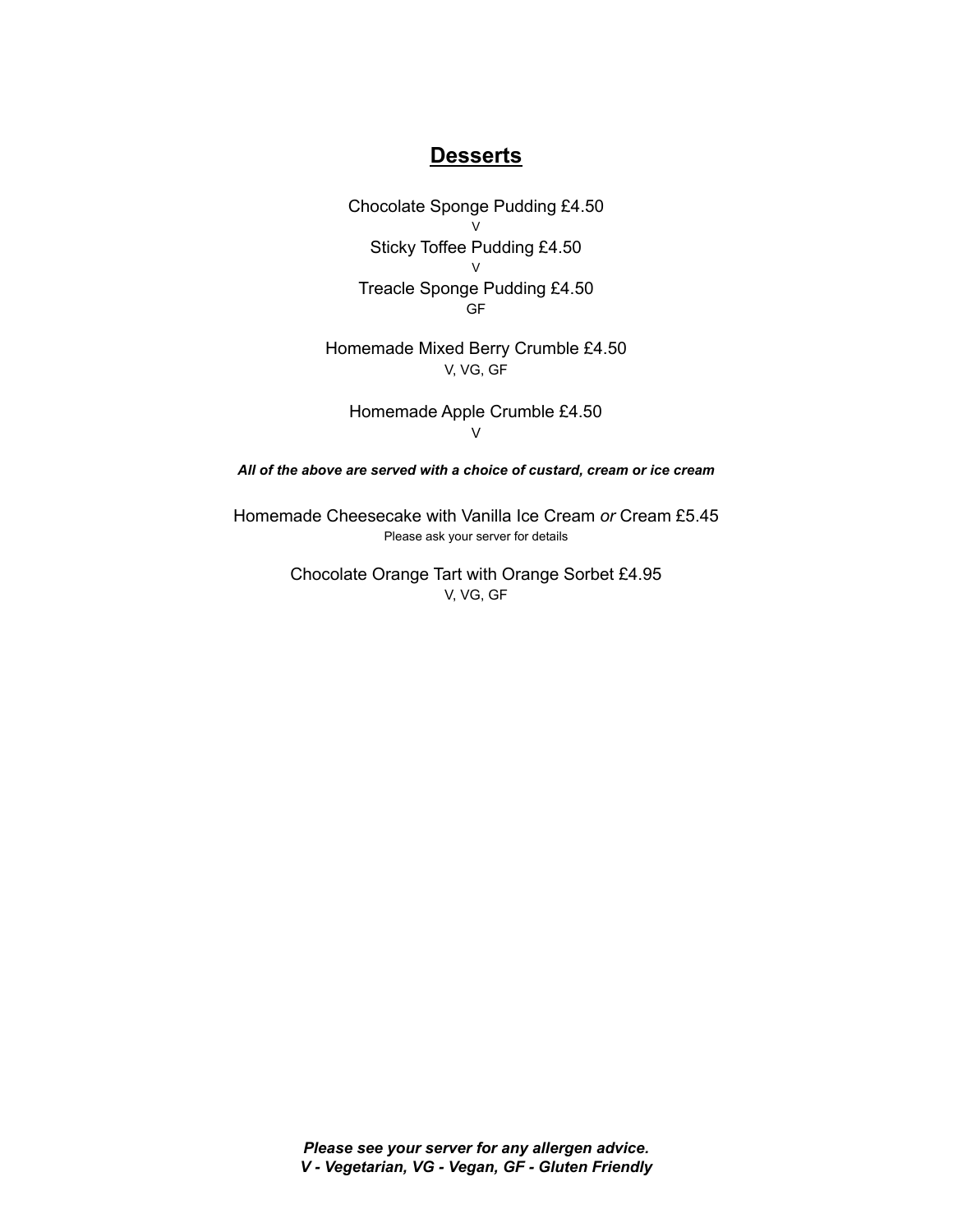# **Desserts**

Chocolate Sponge Pudding £4.50 V Sticky Toffee Pudding £4.50  $\mathcal{U}$ Treacle Sponge Pudding £4.50 GF

Homemade Mixed Berry Crumble £4.50 V, VG, GF

Homemade Apple Crumble £4.50 V

*All of the above are served with a choice of custard, cream or ice cream*

Homemade Cheesecake with Vanilla Ice Cream *or* Cream £5.45 Please ask your server for details

> Chocolate Orange Tart with Orange Sorbet £4.95 V, VG, GF